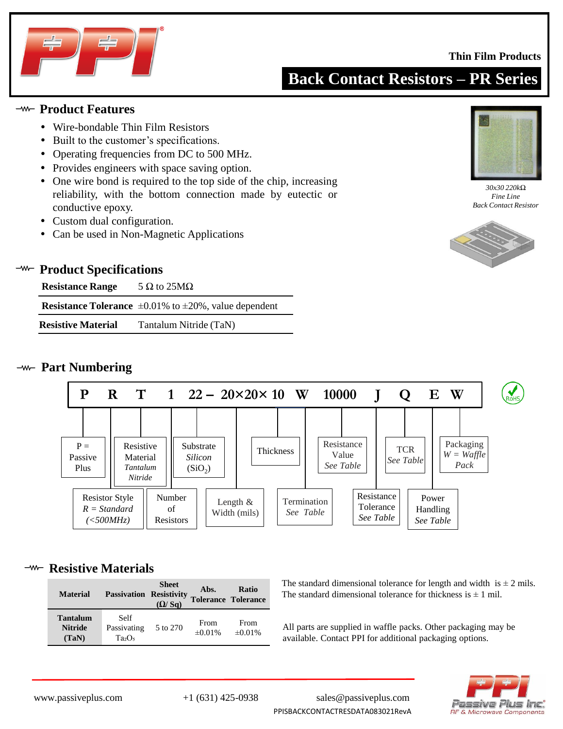

#### **Thin Film Products**

# **Back Contact Resistors – PR Series**

#### **Product Features**

- Wire-bondable Thin Film Resistors
- Built to the customer's specifications.
- Operating frequencies from DC to 500 MHz.
- Provides engineers with space saving option.
- One wire bond is required to the top side of the chip, increasing reliability, with the bottom connection made by eutectic or conductive epoxy.
- Custom dual configuration.
- Can be used in Non-Magnetic Applications



#### **<sup>-w-</sup>** Product Specifications

| <b>Resistance Range</b>   | 5 $\Omega$ to 25M $\Omega$                                               |
|---------------------------|--------------------------------------------------------------------------|
|                           | <b>Resistance Tolerance</b> $\pm 0.01\%$ to $\pm 20\%$ , value dependent |
| <b>Resistive Material</b> | Tantalum Nitride (TaN)                                                   |

#### **Part Numbering**



#### **<sup>-w-</sup>** Resistive Materials

| <b>Material</b>                            | <b>Passivation Resistivity</b>   | <b>Sheet</b><br>(Q/Sq) | Abs.                 | <b>Ratio</b><br><b>Tolerance Tolerance</b> |
|--------------------------------------------|----------------------------------|------------------------|----------------------|--------------------------------------------|
| <b>Tantalum</b><br><b>Nitride</b><br>(TaN) | Self<br>Passivating<br>$Ta_2O_5$ | 5 to 270               | From<br>$\pm 0.01\%$ | From<br>$\pm 0.01\%$                       |

The standard dimensional tolerance for length and width is  $\pm 2$  mils. The standard dimensional tolerance for thickness is  $\pm 1$  mil.

All parts are supplied in waffle packs. Other packaging may be available. Contact PPI for additional packaging options.



www.passiveplus.com +1 (631) 425-0938 sales@passiveplus.com PPISBACKCONTACTRESDATA083021RevA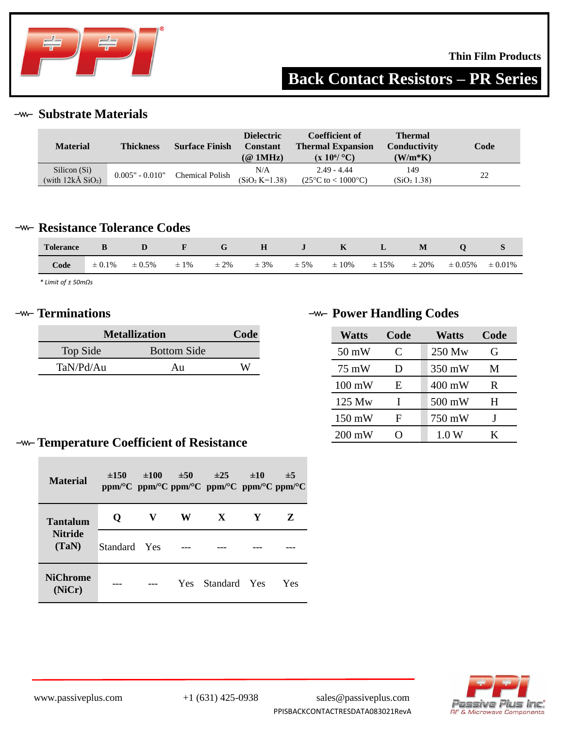

# **Back Contact Resistors – PR Series**

**Substrate Materials**

| <b>Material</b>                                   | <b>Thickness</b>  | <b>Surface Finish</b>  | <b>Dielectric</b><br>Constant<br>$(\textcircled{a}$ 1MHz) | Coefficient of<br><b>Thermal Expansion</b><br>$(x 10^{6}/^{\circ}C)$ | <b>Thermal</b><br>Conductivity<br>$(W/m*K)$ | Code |
|---------------------------------------------------|-------------------|------------------------|-----------------------------------------------------------|----------------------------------------------------------------------|---------------------------------------------|------|
| Silicon (Si)<br>(with $12k\AA$ SiO <sub>2</sub> ) | $0.005" - 0.010"$ | <b>Chemical Polish</b> | N/A<br>$(SiO2 K=1.38)$                                    | $2.49 - 4.44$<br>$(25^{\circ}C \text{ to } < 1000^{\circ}C)$         | 149<br>(SiO <sub>2</sub> 1.38)              | 22   |

#### **-w- Resistance Tolerance Codes**

| <b>Tolerance</b> |             |             |           |           | $\mathbf H$ | $\bf J$  | $\mathbf{K}$ | L     | M          |              |              |
|------------------|-------------|-------------|-----------|-----------|-------------|----------|--------------|-------|------------|--------------|--------------|
| Code             | $\pm 0.1\%$ | $\pm 0.5\%$ | $\pm 1\%$ | $\pm 2\%$ | $\pm$ 3%    | $\pm$ 5% | $\pm 10\%$   | ± 15% | $\pm 20\%$ | $\pm 0.05\%$ | $\pm 0.01\%$ |

*\* Limit of ± 50mΩs*

| <b>Metallization</b> | Code               |   |
|----------------------|--------------------|---|
| Top Side             | <b>Bottom Side</b> |   |
| TaN/Pd/Au            | Au                 | W |

## **<sup>−∞</sup> Terminations Power Handling Codes**

| <b>Watts</b>     | Code | <b>Watts</b> | Code |
|------------------|------|--------------|------|
| $50 \text{ mW}$  | C    | 250 Mw       | G    |
| 75 mW            | Ð    | 350 mW       | М    |
| $100 \text{ mW}$ | E    | 400 mW       | R    |
| 125 Mw           |      | 500 mW       | H    |
| $150 \text{ mW}$ | F    | 750 mW       |      |
| $200 \text{ mW}$ |      | 1.0 W        | K    |

# **Temperature Coefficient of Resistance**

| <b>Material</b>           | $\pm 150$    | ±100 | ±50 | $\pm 25$<br>ppm/°C ppm/°C ppm/°C ppm/°C ppm/°C ppm/°C | ±10 | $\pm$ 5 |
|---------------------------|--------------|------|-----|-------------------------------------------------------|-----|---------|
| Tantalum                  | Ő            | V    | W   | $\mathbf{X}$                                          | Y   | Z       |
| <b>Nitride</b><br>(TaN)   | Standard Yes |      |     |                                                       |     |         |
| <b>NiChrome</b><br>(NiCr) |              |      | Yes | Standard Yes                                          |     | Yes     |

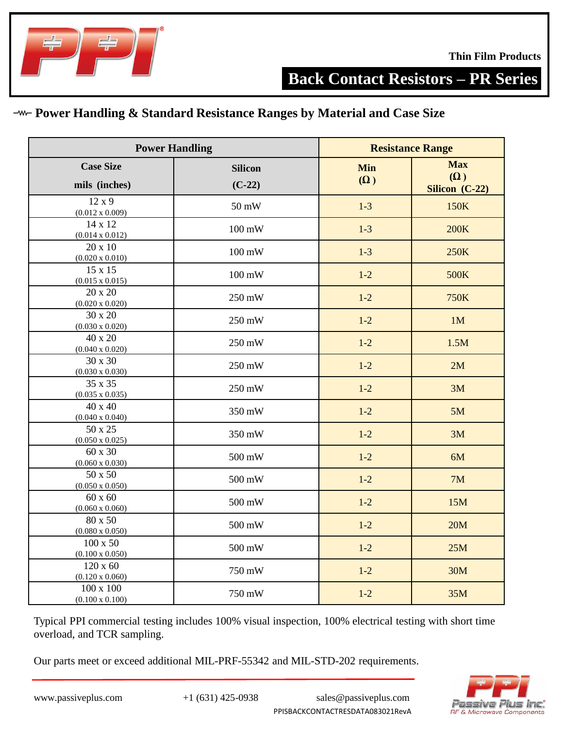

## **Power Handling & Standard Resistance Ranges by Material and Case Size**

| <b>Power Handling</b>                     |                            | <b>Resistance Range</b>  |                                            |  |
|-------------------------------------------|----------------------------|--------------------------|--------------------------------------------|--|
| <b>Case Size</b><br>mils (inches)         | <b>Silicon</b><br>$(C-22)$ | <b>Min</b><br>$(\Omega)$ | <b>Max</b><br>$(\Omega)$<br>Silicon (C-22) |  |
| $12 \times 9$<br>$(0.012 \times 0.009)$   | 50 mW                      | $1-3$                    | 150K                                       |  |
| 14 x 12<br>$(0.014 \times 0.012)$         | $100 \text{ mW}$           | $1-3$                    | <b>200K</b>                                |  |
| 20 x 10<br>$(0.020 \times 0.010)$         | $100 \text{ mW}$           | $1-3$                    | 250K                                       |  |
| 15 x 15<br>$(0.015 \times 0.015)$         | $100 \text{ mW}$           | $1-2$                    | 500K                                       |  |
| 20 x 20<br>$(0.020 \times 0.020)$         | 250 mW                     | $1-2$                    | 750K                                       |  |
| 30 x 20<br>$(0.030 \times 0.020)$         | 250 mW                     | $1-2$                    | 1M                                         |  |
| 40 x 20<br>$(0.040 \times 0.020)$         | 250 mW                     | $1-2$                    | 1.5M                                       |  |
| 30 x 30<br>$(0.030 \times 0.030)$         | 250 mW                     | $1-2$                    | 2M                                         |  |
| 35 x 35<br>$(0.035 \times 0.035)$         | 250 mW                     | $1-2$                    | 3M                                         |  |
| 40 x 40<br>$(0.040 \times 0.040)$         | 350 mW                     | $1-2$                    | 5M                                         |  |
| 50 x 25<br>$(0.050 \times 0.025)$         | 350 mW                     | $1-2$                    | 3M                                         |  |
| 60 x 30<br>$(0.060 \times 0.030)$         | 500 mW                     | $1 - 2$                  | 6M                                         |  |
| 50 x 50<br>$(0.050 \times 0.050)$         | 500 mW                     | $1-2$                    | 7M                                         |  |
| $60 \times 60$<br>$(0.060 \times 0.060)$  | 500 mW                     | $1-2$                    | 15M                                        |  |
| 80 x 50<br>$(0.080 \times 0.050)$         | 500 mW                     | $1-2$                    | 20M                                        |  |
| $100 \times 50$<br>$(0.100 \times 0.050)$ | 500 mW                     | $1-2$                    | 25M                                        |  |
| $120 \times 60$<br>$(0.120 \times 0.060)$ | 750 mW                     | $1 - 2$                  | 30M                                        |  |
| 100 x 100<br>$(0.100 \times 0.100)$       | 750 mW                     | $1-2$                    | 35M                                        |  |

Typical PPI commercial testing includes 100% visual inspection, 100% electrical testing with short time overload, and TCR sampling.

Our parts meet or exceed additional MIL-PRF-55342 and MIL-STD-202 requirements.